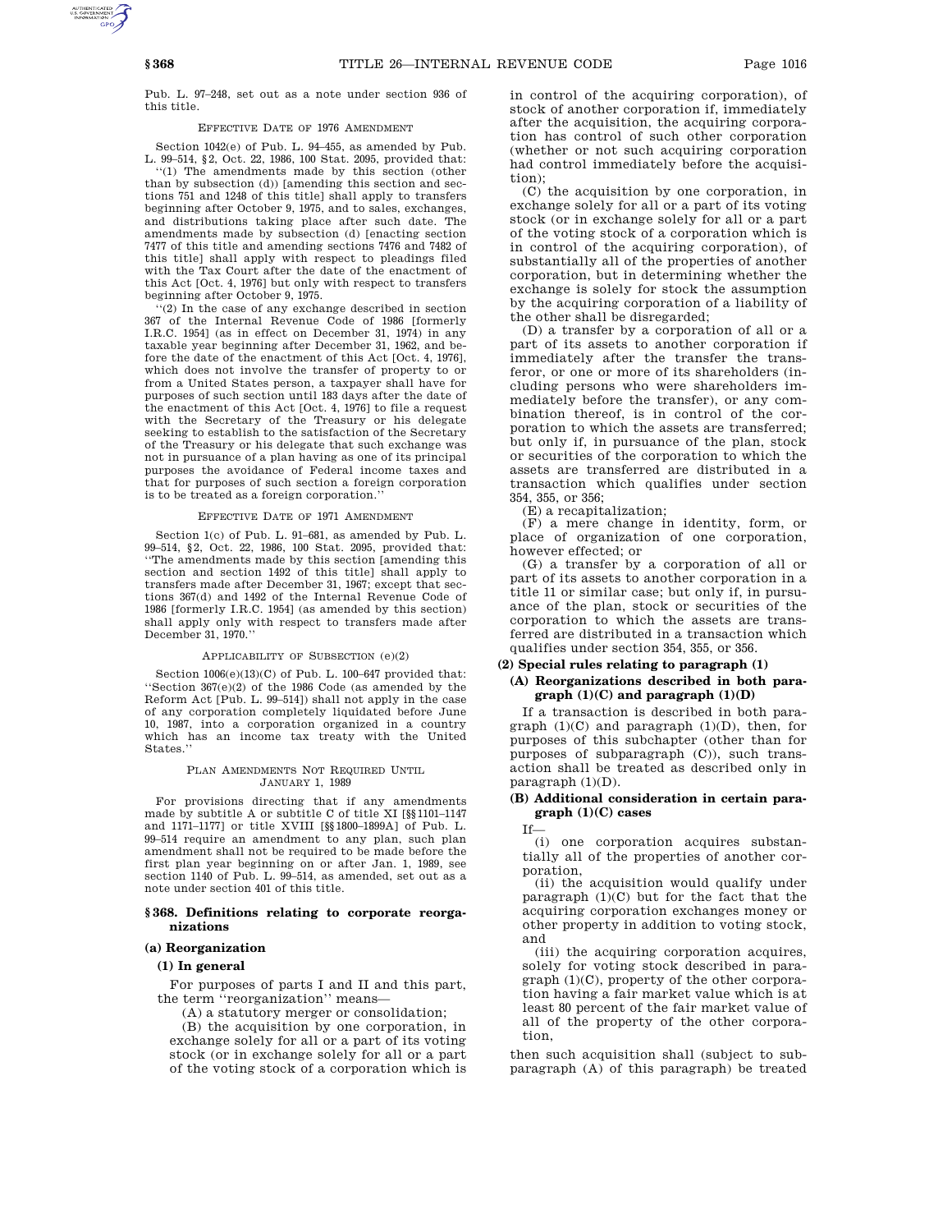Pub. L. 97–248, set out as a note under section 936 of this title.

## EFFECTIVE DATE OF 1976 AMENDMENT

Section 1042(e) of Pub. L. 94–455, as amended by Pub. L. 99–514, §2, Oct. 22, 1986, 100 Stat. 2095, provided that:

''(1) The amendments made by this section (other than by subsection (d)) [amending this section and sections 751 and 1248 of this title] shall apply to transfers beginning after October 9, 1975, and to sales, exchanges, and distributions taking place after such date. The amendments made by subsection (d) [enacting section 7477 of this title and amending sections 7476 and 7482 of this title] shall apply with respect to pleadings filed with the Tax Court after the date of the enactment of this Act [Oct. 4, 1976] but only with respect to transfers beginning after October 9, 1975.

 $(2)$  In the case of any exchange described in section 367 of the Internal Revenue Code of 1986 [formerly I.R.C. 1954] (as in effect on December 31, 1974) in any taxable year beginning after December 31, 1962, and before the date of the enactment of this Act [Oct. 4, 1976], which does not involve the transfer of property to or from a United States person, a taxpayer shall have for purposes of such section until 183 days after the date of the enactment of this Act [Oct. 4, 1976] to file a request with the Secretary of the Treasury or his delegate seeking to establish to the satisfaction of the Secretary of the Treasury or his delegate that such exchange was not in pursuance of a plan having as one of its principal purposes the avoidance of Federal income taxes and that for purposes of such section a foreign corporation is to be treated as a foreign corporation.''

#### EFFECTIVE DATE OF 1971 AMENDMENT

Section 1(c) of Pub. L. 91–681, as amended by Pub. L. 99–514, §2, Oct. 22, 1986, 100 Stat. 2095, provided that: ''The amendments made by this section [amending this section and section 1492 of this title] shall apply to transfers made after December 31, 1967; except that sections 367(d) and 1492 of the Internal Revenue Code of 1986 [formerly I.R.C. 1954] (as amended by this section) shall apply only with respect to transfers made after December 31, 1970.''

### APPLICABILITY OF SUBSECTION (e)(2)

Section 1006(e)(13)(C) of Pub. L. 100–647 provided that: ''Section 367(e)(2) of the 1986 Code (as amended by the Reform Act [Pub. L. 99–514]) shall not apply in the case of any corporation completely liquidated before June 10, 1987, into a corporation organized in a country which has an income tax treaty with the United States.''

#### PLAN AMENDMENTS NOT REQUIRED UNTIL JANUARY 1, 1989

For provisions directing that if any amendments made by subtitle A or subtitle C of title XI [§§1101–1147 and 1171–1177] or title XVIII [§§1800–1899A] of Pub. L. 99–514 require an amendment to any plan, such plan amendment shall not be required to be made before the first plan year beginning on or after Jan. 1, 1989, see section 1140 of Pub. L. 99–514, as amended, set out as a note under section 401 of this title.

## **§ 368. Definitions relating to corporate reorganizations**

# **(a) Reorganization**

## **(1) In general**

For purposes of parts I and II and this part, the term "reorganization" means-

(A) a statutory merger or consolidation;

(B) the acquisition by one corporation, in exchange solely for all or a part of its voting stock (or in exchange solely for all or a part of the voting stock of a corporation which is

in control of the acquiring corporation), of stock of another corporation if, immediately after the acquisition, the acquiring corporation has control of such other corporation (whether or not such acquiring corporation had control immediately before the acquisition);

(C) the acquisition by one corporation, in exchange solely for all or a part of its voting stock (or in exchange solely for all or a part of the voting stock of a corporation which is in control of the acquiring corporation), of substantially all of the properties of another corporation, but in determining whether the exchange is solely for stock the assumption by the acquiring corporation of a liability of the other shall be disregarded;

(D) a transfer by a corporation of all or a part of its assets to another corporation if immediately after the transfer the transferor, or one or more of its shareholders (including persons who were shareholders immediately before the transfer), or any combination thereof, is in control of the corporation to which the assets are transferred; but only if, in pursuance of the plan, stock or securities of the corporation to which the assets are transferred are distributed in a transaction which qualifies under section 354, 355, or 356;

(E) a recapitalization;

(F) a mere change in identity, form, or place of organization of one corporation, however effected; or

(G) a transfer by a corporation of all or part of its assets to another corporation in a title 11 or similar case; but only if, in pursuance of the plan, stock or securities of the corporation to which the assets are transferred are distributed in a transaction which qualifies under section 354, 355, or 356.

## **(2) Special rules relating to paragraph (1)**

# **(A) Reorganizations described in both paragraph (1)(C) and paragraph (1)(D)**

If a transaction is described in both paragraph  $(1)(C)$  and paragraph  $(1)(D)$ , then, for purposes of this subchapter (other than for purposes of subparagraph (C)), such transaction shall be treated as described only in paragraph  $(1)(D)$ .

## **(B) Additional consideration in certain paragraph (1)(C) cases**

If—

(i) one corporation acquires substantially all of the properties of another corporation,

(ii) the acquisition would qualify under paragraph  $(1)(C)$  but for the fact that the acquiring corporation exchanges money or other property in addition to voting stock, and

(iii) the acquiring corporation acquires, solely for voting stock described in paragraph (1)(C), property of the other corporation having a fair market value which is at least 80 percent of the fair market value of all of the property of the other corporation,

then such acquisition shall (subject to subparagraph (A) of this paragraph) be treated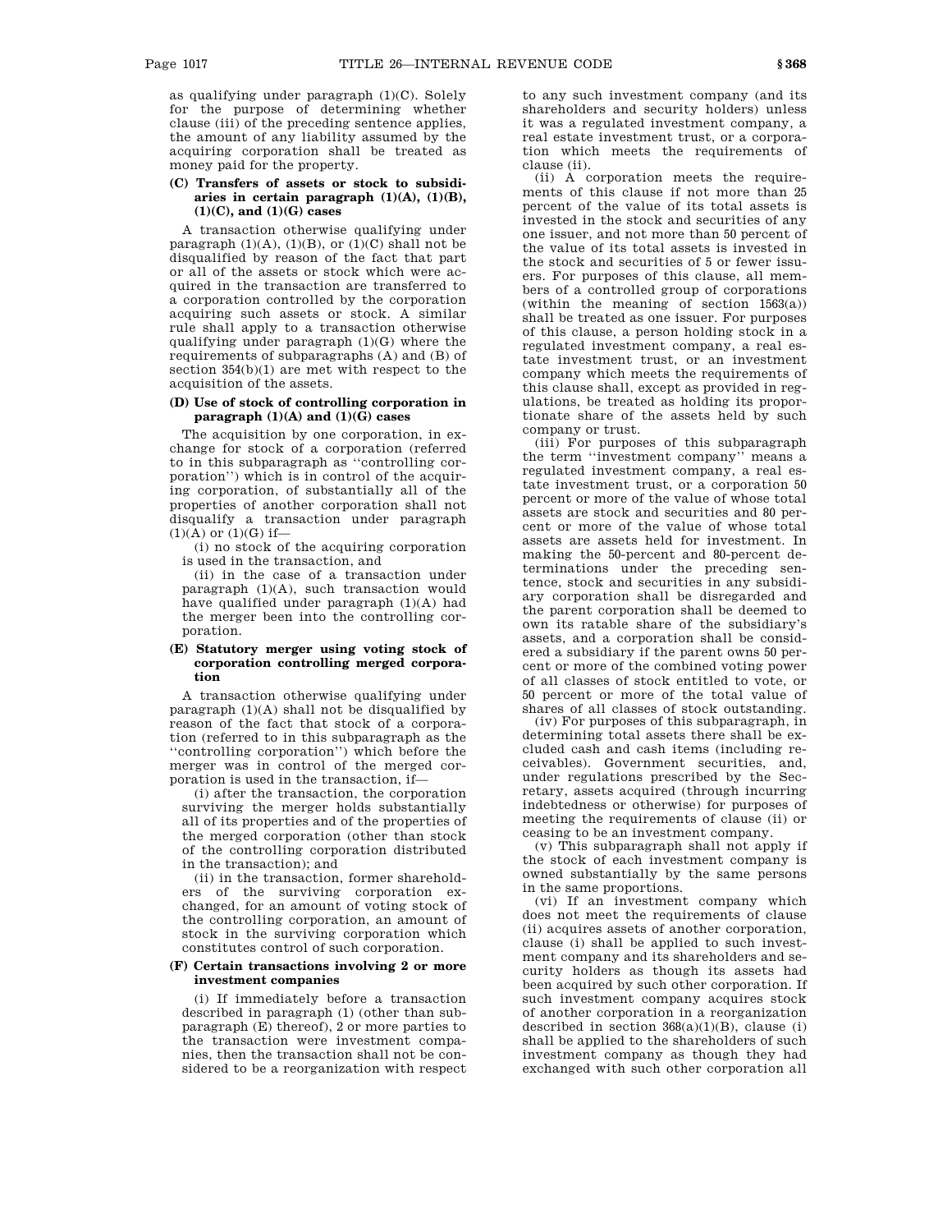as qualifying under paragraph  $(1)(C)$ . Solely for the purpose of determining whether clause (iii) of the preceding sentence applies, the amount of any liability assumed by the acquiring corporation shall be treated as money paid for the property.

## **(C) Transfers of assets or stock to subsidiaries in certain paragraph (1)(A), (1)(B), (1)(C), and (1)(G) cases**

A transaction otherwise qualifying under paragraph  $(1)(A)$ ,  $(1)(B)$ , or  $(1)(C)$  shall not be disqualified by reason of the fact that part or all of the assets or stock which were acquired in the transaction are transferred to a corporation controlled by the corporation acquiring such assets or stock. A similar rule shall apply to a transaction otherwise qualifying under paragraph (1)(G) where the requirements of subparagraphs (A) and (B) of section 354(b)(1) are met with respect to the acquisition of the assets.

## **(D) Use of stock of controlling corporation in paragraph (1)(A) and (1)(G) cases**

The acquisition by one corporation, in exchange for stock of a corporation (referred to in this subparagraph as ''controlling corporation'') which is in control of the acquiring corporation, of substantially all of the properties of another corporation shall not disqualify a transaction under paragraph  $(1)(A)$  or  $(1)(G)$  if-

(i) no stock of the acquiring corporation is used in the transaction, and

(ii) in the case of a transaction under paragraph (1)(A), such transaction would have qualified under paragraph (1)(A) had the merger been into the controlling corporation.

## **(E) Statutory merger using voting stock of corporation controlling merged corporation**

A transaction otherwise qualifying under paragraph (1)(A) shall not be disqualified by reason of the fact that stock of a corporation (referred to in this subparagraph as the ''controlling corporation'') which before the merger was in control of the merged corporation is used in the transaction, if—

(i) after the transaction, the corporation surviving the merger holds substantially all of its properties and of the properties of the merged corporation (other than stock of the controlling corporation distributed in the transaction); and

(ii) in the transaction, former shareholders of the surviving corporation exchanged, for an amount of voting stock of the controlling corporation, an amount of stock in the surviving corporation which constitutes control of such corporation.

## **(F) Certain transactions involving 2 or more investment companies**

(i) If immediately before a transaction described in paragraph (1) (other than subparagraph (E) thereof), 2 or more parties to the transaction were investment companies, then the transaction shall not be considered to be a reorganization with respect

to any such investment company (and its shareholders and security holders) unless it was a regulated investment company, a real estate investment trust, or a corporation which meets the requirements of clause (ii).

 $(i)$  A corporation meets the requirements of this clause if not more than 25 percent of the value of its total assets is invested in the stock and securities of any one issuer, and not more than 50 percent of the value of its total assets is invested in the stock and securities of 5 or fewer issuers. For purposes of this clause, all members of a controlled group of corporations (within the meaning of section 1563(a)) shall be treated as one issuer. For purposes of this clause, a person holding stock in a regulated investment company, a real estate investment trust, or an investment company which meets the requirements of this clause shall, except as provided in regulations, be treated as holding its proportionate share of the assets held by such company or trust.

(iii) For purposes of this subparagraph the term ''investment company'' means a regulated investment company, a real estate investment trust, or a corporation 50 percent or more of the value of whose total assets are stock and securities and 80 percent or more of the value of whose total assets are assets held for investment. In making the 50-percent and 80-percent determinations under the preceding sentence, stock and securities in any subsidiary corporation shall be disregarded and the parent corporation shall be deemed to own its ratable share of the subsidiary's assets, and a corporation shall be considered a subsidiary if the parent owns 50 percent or more of the combined voting power of all classes of stock entitled to vote, or 50 percent or more of the total value of shares of all classes of stock outstanding.

(iv) For purposes of this subparagraph, in determining total assets there shall be excluded cash and cash items (including receivables). Government securities, and, under regulations prescribed by the Secretary, assets acquired (through incurring indebtedness or otherwise) for purposes of meeting the requirements of clause (ii) or ceasing to be an investment company.

(v) This subparagraph shall not apply if the stock of each investment company is owned substantially by the same persons in the same proportions.

(vi) If an investment company which does not meet the requirements of clause (ii) acquires assets of another corporation, clause (i) shall be applied to such investment company and its shareholders and security holders as though its assets had been acquired by such other corporation. If such investment company acquires stock of another corporation in a reorganization described in section  $368(a)(1)(B)$ , clause (i) shall be applied to the shareholders of such investment company as though they had exchanged with such other corporation all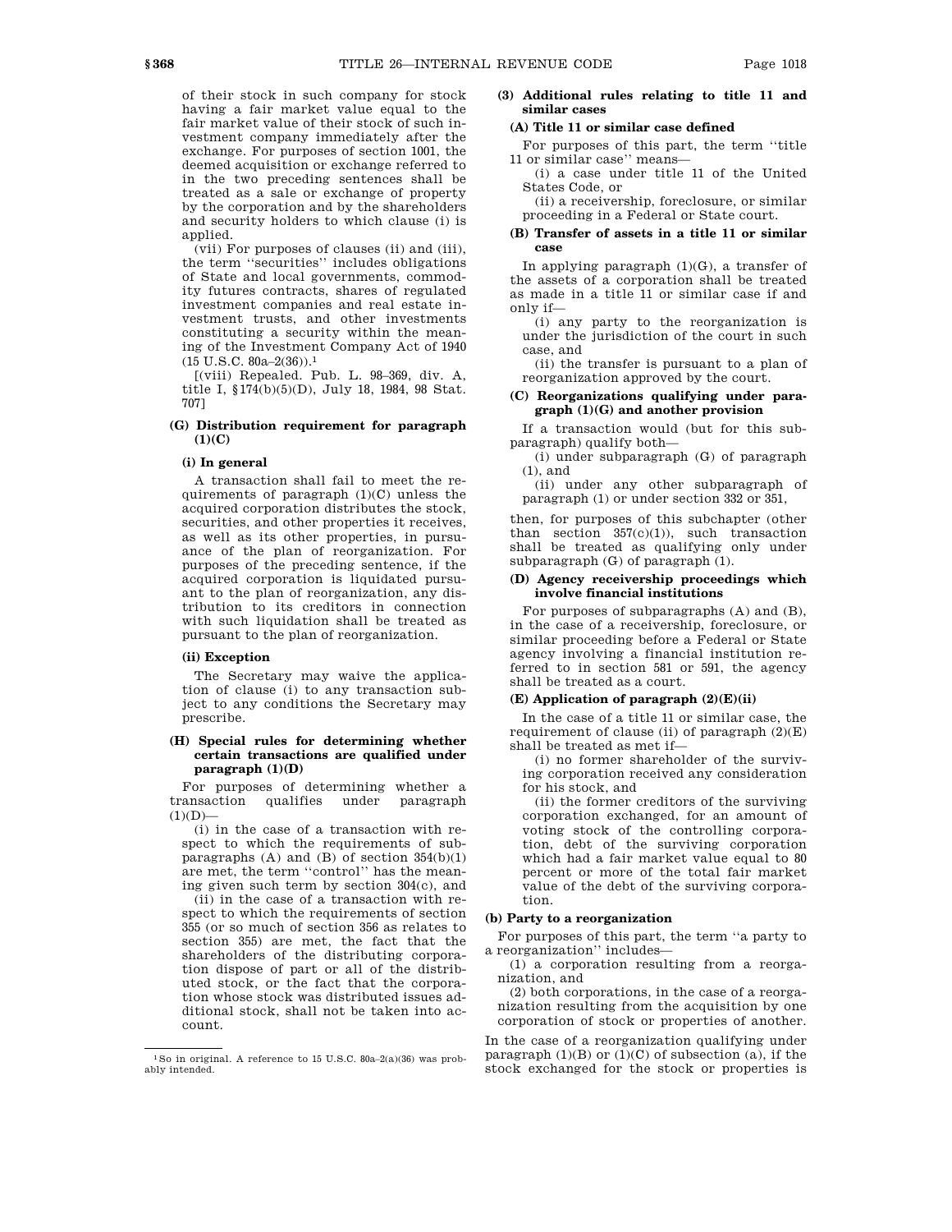of their stock in such company for stock having a fair market value equal to the fair market value of their stock of such investment company immediately after the exchange. For purposes of section 1001, the deemed acquisition or exchange referred to in the two preceding sentences shall be treated as a sale or exchange of property by the corporation and by the shareholders and security holders to which clause (i) is applied.

(vii) For purposes of clauses (ii) and (iii), the term ''securities'' includes obligations of State and local governments, commodity futures contracts, shares of regulated investment companies and real estate investment trusts, and other investments constituting a security within the meaning of the Investment Company Act of 1940  $(15 \text{ U.S.C. } 80a - 2(36))$ .<sup>1</sup>

[(viii) Repealed. Pub. L. 98–369, div. A, title I, §174(b)(5)(D), July 18, 1984, 98 Stat. 707]

# **(G) Distribution requirement for paragraph (1)(C)**

### **(i) In general**

A transaction shall fail to meet the requirements of paragraph (1)(C) unless the acquired corporation distributes the stock, securities, and other properties it receives, as well as its other properties, in pursuance of the plan of reorganization. For purposes of the preceding sentence, if the acquired corporation is liquidated pursuant to the plan of reorganization, any distribution to its creditors in connection with such liquidation shall be treated as pursuant to the plan of reorganization.

## **(ii) Exception**

The Secretary may waive the application of clause (i) to any transaction subject to any conditions the Secretary may prescribe.

## **(H) Special rules for determining whether certain transactions are qualified under paragraph (1)(D)**

For purposes of determining whether a transaction qualifies under paragraph  $(1)(D)$ 

(i) in the case of a transaction with respect to which the requirements of subparagraphs  $(A)$  and  $(B)$  of section  $354(b)(1)$ are met, the term ''control'' has the meaning given such term by section 304(c), and

(ii) in the case of a transaction with respect to which the requirements of section 355 (or so much of section 356 as relates to section 355) are met, the fact that the shareholders of the distributing corporation dispose of part or all of the distributed stock, or the fact that the corporation whose stock was distributed issues additional stock, shall not be taken into account.

# **(3) Additional rules relating to title 11 and similar cases**

## **(A) Title 11 or similar case defined**

For purposes of this part, the term ''title 11 or similar case'' means—

(i) a case under title 11 of the United States Code, or

(ii) a receivership, foreclosure, or similar proceeding in a Federal or State court.

### **(B) Transfer of assets in a title 11 or similar case**

In applying paragraph (1)(G), a transfer of the assets of a corporation shall be treated as made in a title 11 or similar case if and only if—

(i) any party to the reorganization is under the jurisdiction of the court in such case, and

(ii) the transfer is pursuant to a plan of reorganization approved by the court.

## **(C) Reorganizations qualifying under paragraph (1)(G) and another provision**

If a transaction would (but for this subparagraph) qualify both—

(i) under subparagraph (G) of paragraph (1), and

(ii) under any other subparagraph of paragraph (1) or under section 332 or 351,

then, for purposes of this subchapter (other than section  $357(c)(1)$ , such transaction shall be treated as qualifying only under subparagraph (G) of paragraph (1).

## **(D) Agency receivership proceedings which involve financial institutions**

For purposes of subparagraphs (A) and (B), in the case of a receivership, foreclosure, or similar proceeding before a Federal or State agency involving a financial institution referred to in section 581 or 591, the agency shall be treated as a court.

## **(E) Application of paragraph (2)(E)(ii)**

In the case of a title 11 or similar case, the requirement of clause (ii) of paragraph  $(2)(E)$ shall be treated as met if—

(i) no former shareholder of the surviving corporation received any consideration for his stock, and

(ii) the former creditors of the surviving corporation exchanged, for an amount of voting stock of the controlling corporation, debt of the surviving corporation which had a fair market value equal to 80 percent or more of the total fair market value of the debt of the surviving corporation.

### **(b) Party to a reorganization**

For purposes of this part, the term ''a party to a reorganization'' includes—

(1) a corporation resulting from a reorganization, and

(2) both corporations, in the case of a reorganization resulting from the acquisition by one corporation of stock or properties of another.

In the case of a reorganization qualifying under paragraph  $(1)(B)$  or  $(1)(C)$  of subsection  $(a)$ , if the stock exchanged for the stock or properties is

 $^1$  So in original. A reference to 15 U.S.C. 80a–2(a)(36) was probably intended.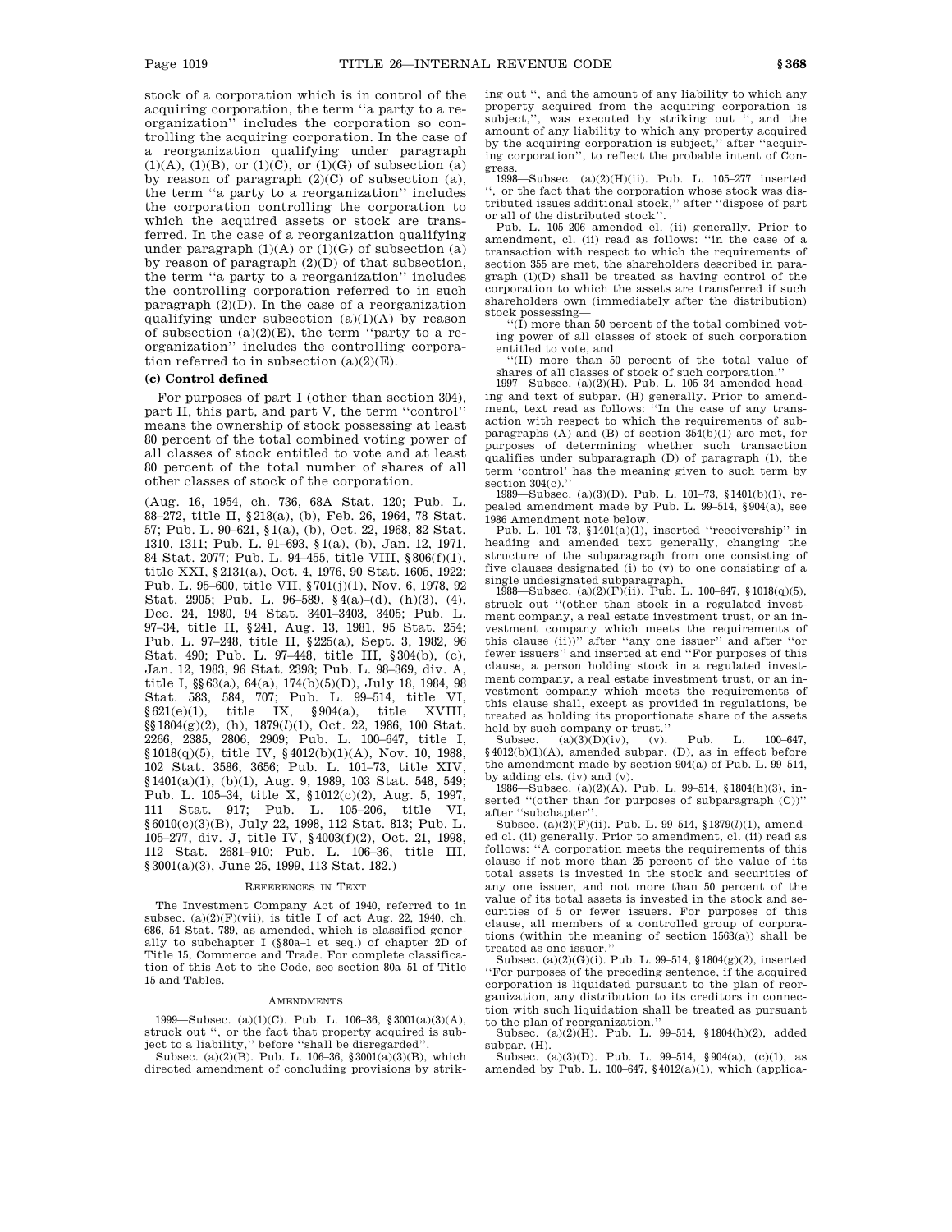stock of a corporation which is in control of the acquiring corporation, the term ''a party to a reorganization'' includes the corporation so controlling the acquiring corporation. In the case of a reorganization qualifying under paragraph  $(1)(A)$ ,  $(1)(B)$ , or  $(1)(C)$ , or  $(1)(G)$  of subsection  $(a)$ by reason of paragraph (2)(C) of subsection (a), the term ''a party to a reorganization'' includes the corporation controlling the corporation to which the acquired assets or stock are transferred. In the case of a reorganization qualifying under paragraph  $(1)(A)$  or  $(1)(G)$  of subsection  $(a)$ by reason of paragraph  $(2)(D)$  of that subsection, the term ''a party to a reorganization'' includes the controlling corporation referred to in such paragraph  $(2)(D)$ . In the case of a reorganization qualifying under subsection  $(a)(1)(A)$  by reason of subsection  $(a)(2)(E)$ , the term "party to a reorganization'' includes the controlling corporation referred to in subsection  $(a)(2)(E)$ .

# **(c) Control defined**

For purposes of part I (other than section 304), part II, this part, and part V, the term ''control'' means the ownership of stock possessing at least 80 percent of the total combined voting power of all classes of stock entitled to vote and at least 80 percent of the total number of shares of all other classes of stock of the corporation.

(Aug. 16, 1954, ch. 736, 68A Stat. 120; Pub. L. 88–272, title II, §218(a), (b), Feb. 26, 1964, 78 Stat. 57; Pub. L. 90–621, §1(a), (b), Oct. 22, 1968, 82 Stat. 1310, 1311; Pub. L. 91–693, §1(a), (b), Jan. 12, 1971, 84 Stat. 2077; Pub. L. 94–455, title VIII, §806(f)(1), title XXI, §2131(a), Oct. 4, 1976, 90 Stat. 1605, 1922; Pub. L. 95–600, title VII, §701(j)(1), Nov. 6, 1978, 92 Stat. 2905; Pub. L. 96–589, §4(a)–(d), (h)(3), (4), Dec. 24, 1980, 94 Stat. 3401–3403, 3405; Pub. L. 97–34, title II, §241, Aug. 13, 1981, 95 Stat. 254; Pub. L. 97–248, title II, §225(a), Sept. 3, 1982, 96 Stat. 490; Pub. L. 97–448, title III, §304(b), (c), Jan. 12, 1983, 96 Stat. 2398; Pub. L. 98–369, div. A, title I, §§63(a), 64(a), 174(b)(5)(D), July 18, 1984, 98 Stat. 583, 584, 707; Pub. L. 99–514, title VI,  $\S~621(e)(1),$  title IX,  $\S~904(a),$  title XVIII, §§1804(g)(2), (h), 1879(*l*)(1), Oct. 22, 1986, 100 Stat. 2266, 2385, 2806, 2909; Pub. L. 100–647, title I, §1018(q)(5), title IV, §4012(b)(1)(A), Nov. 10, 1988, 102 Stat. 3586, 3656; Pub. L. 101–73, title XIV, §1401(a)(1), (b)(1), Aug. 9, 1989, 103 Stat. 548, 549; Pub. L. 105–34, title X, §1012(c)(2), Aug. 5, 1997, 111 Stat. 917; Pub. L. 105–206, title VI, §6010(c)(3)(B), July 22, 1998, 112 Stat. 813; Pub. L. 105–277, div. J, title IV, §4003(f)(2), Oct. 21, 1998, 112 Stat. 2681–910; Pub. L. 106–36, title III, §3001(a)(3), June 25, 1999, 113 Stat. 182.)

### REFERENCES IN TEXT

The Investment Company Act of 1940, referred to in subsec.  $(a)(2)(F)(vii)$ , is title I of act Aug. 22, 1940, ch. 686, 54 Stat. 789, as amended, which is classified generally to subchapter I (§80a–1 et seq.) of chapter 2D of Title 15, Commerce and Trade. For complete classification of this Act to the Code, see section 80a–51 of Title 15 and Tables.

### AMENDMENTS

1999—Subsec. (a)(1)(C). Pub. L. 106–36, §3001(a)(3)(A), struck out '', or the fact that property acquired is subject to a liability,'' before ''shall be disregarded''.

Subsec. (a)(2)(B). Pub. L. 106–36,  $\sqrt[3]{3001(a)(3)(B)}$ , which directed amendment of concluding provisions by striking out '', and the amount of any liability to which any property acquired from the acquiring corporation is subject,'', was executed by striking out '', and the amount of any liability to which any property acquired by the acquiring corporation is subject,'' after ''acquiring corporation'', to reflect the probable intent of Congress.

1998—Subsec. (a)(2)(H)(ii). Pub. L. 105–277 inserted '', or the fact that the corporation whose stock was distributed issues additional stock,'' after ''dispose of part or all of the distributed stock''.

Pub. L. 105–206 amended cl. (ii) generally. Prior to amendment, cl. (ii) read as follows: ''in the case of a transaction with respect to which the requirements of section 355 are met, the shareholders described in paragraph (1)(D) shall be treated as having control of the corporation to which the assets are transferred if such shareholders own (immediately after the distribution) stock possessing—

 $\cdot$ <sup>''</sup>(I) more than 50 percent of the total combined voting power of all classes of stock of such corporation entitled to vote, and

''(II) more than 50 percent of the total value of shares of all classes of stock of such corporation.'' 1997—Subsec. (a)(2)(H). Pub. L. 105–34 amended head-

ing and text of subpar. (H) generally. Prior to amendment, text read as follows: ''In the case of any transaction with respect to which the requirements of subparagraphs (A) and (B) of section 354(b)(1) are met, for purposes of determining whether such transaction qualifies under subparagraph (D) of paragraph (1), the term 'control' has the meaning given to such term by section 304(c).''

1989—Subsec. (a)(3)(D). Pub. L. 101–73, §1401(b)(1), repealed amendment made by Pub. L. 99–514, §904(a), see

1986 Amendment note below. Pub. L. 101–73, §1401(a)(1), inserted ''receivership'' in heading and amended text generally, changing the structure of the subparagraph from one consisting of five clauses designated (i) to (v) to one consisting of a

single undesignated subparagraph. 1988—Subsec. (a)(2)(F)(ii). Pub. L. 100–647, §1018(q)(5), struck out ''(other than stock in a regulated investment company, a real estate investment trust, or an investment company which meets the requirements of this clause (ii))'' after ''any one issuer'' and after ''or fewer issuers'' and inserted at end ''For purposes of this clause, a person holding stock in a regulated investment company, a real estate investment trust, or an investment company which meets the requirements of this clause shall, except as provided in regulations, be treated as holding its proportionate share of the assets

held by such company or trust.<br>'Subsec.  $(a)(3)(D)(iv)$ ,  $(v)$ .  $(a)(3)$ (D)(iv), (v). Pub. L. 100–647,  $\frac{4012(b)(1)(A)}{2000}$ , amended subpar. (D), as in effect before the amendment made by section 904(a) of Pub. L. 99–514, by adding cls. (iv) and (v).

1986—Subsec.  $(a)(2)(A)$ . Pub. L. 99–514, §1804(h)(3), inserted ''(other than for purposes of subparagraph (C))'' after ''subchapter''.

Subsec. (a)(2)(F)(ii). Pub. L. 99–514, §1879(*l*)(1), amended cl. (ii) generally. Prior to amendment, cl. (ii) read as follows: ''A corporation meets the requirements of this clause if not more than 25 percent of the value of its total assets is invested in the stock and securities of any one issuer, and not more than 50 percent of the value of its total assets is invested in the stock and securities of 5 or fewer issuers. For purposes of this clause, all members of a controlled group of corporations (within the meaning of section 1563(a)) shall be treated as one issuer.''

Subsec. (a)(2)(G)(i). Pub. L. 99–514, §1804(g)(2), inserted ''For purposes of the preceding sentence, if the acquired corporation is liquidated pursuant to the plan of reorganization, any distribution to its creditors in connection with such liquidation shall be treated as pursuant to the plan of reorganization.''

Subsec. (a)(2)(H). Pub. L. 99–514, §1804(h)(2), added subpar. (H).

 $\frac{\text{Subsec}}{\text{Subsec}}$  (a)(3)(D). Pub. L. 99–514, §904(a), (c)(1), as amended by Pub. L. 100–647, §4012(a)(1), which (applica-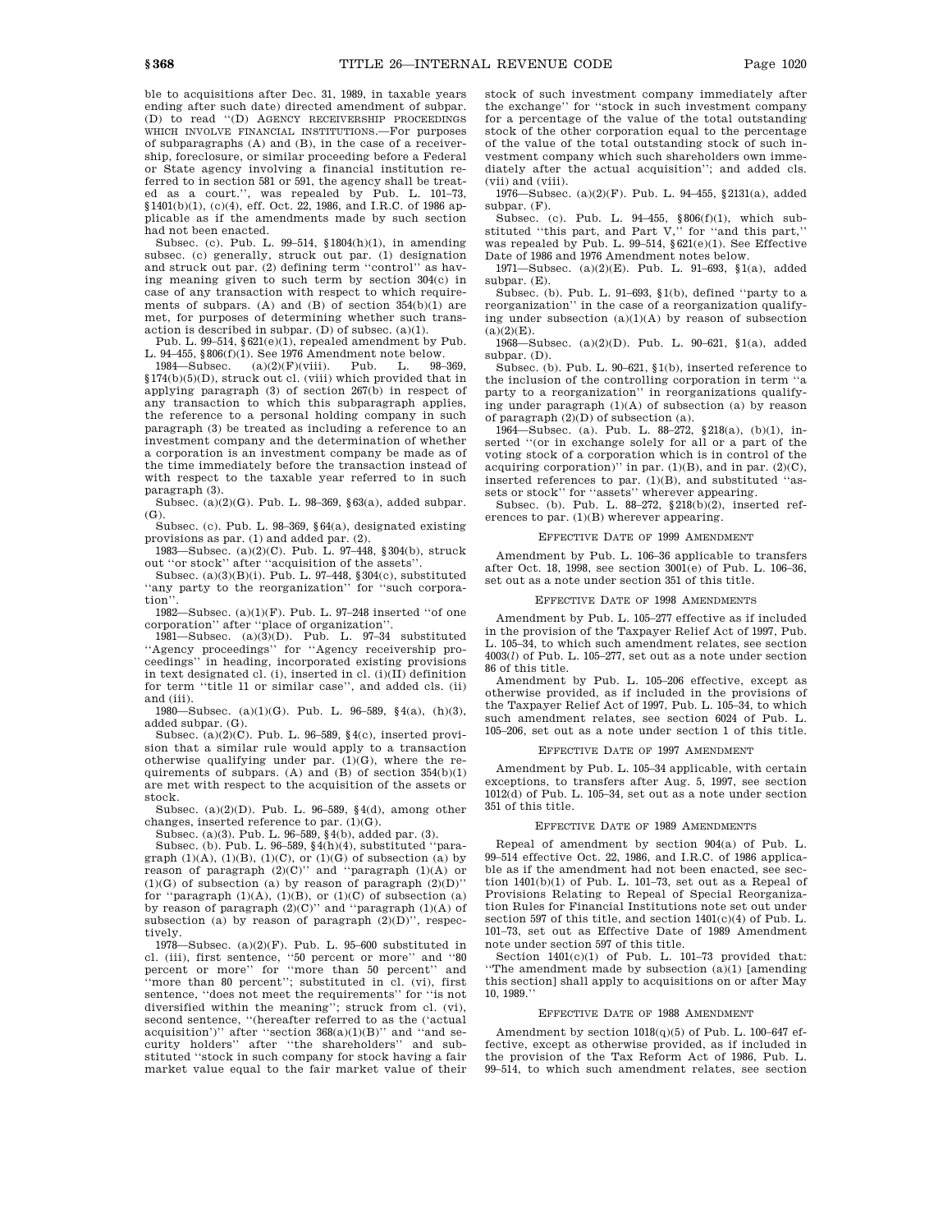ble to acquisitions after Dec. 31, 1989, in taxable years ending after such date) directed amendment of subpar. (D) to read ''(D) AGENCY RECEIVERSHIP PROCEEDINGS WHICH INVOLVE FINANCIAL INSTITUTIONS.—For purposes of subparagraphs (A) and (B), in the case of a receivership, foreclosure, or similar proceeding before a Federal or State agency involving a financial institution referred to in section 581 or 591, the agency shall be treated as a court.'', was repealed by Pub. L. 101–73, §1401(b)(1), (c)(4), eff. Oct. 22, 1986, and I.R.C. of 1986 applicable as if the amendments made by such section had not been enacted.

Subsec. (c). Pub. L. 99–514,  $$1804(h)(1)$ , in amending subsec. (c) generally, struck out par. (1) designation and struck out par. (2) defining term ''control'' as having meaning given to such term by section 304(c) in case of any transaction with respect to which requirements of subpars. (A) and  $(R)$  of section 354 $(b)(1)$  are met, for purposes of determining whether such transaction is described in subpar. (D) of subsec.  $(a)(1)$ .

Pub. L. 99–514,  $§621(e)(1)$ , repealed amendment by Pub. L. 94–455, §806(f)(1). See 1976 Amendment note below.<br>1984—Subsec. (a)(2)(F)(viii). Pub. L. 98–369,

 $1984$ —Subsec. §174(b)(5)(D), struck out cl. (viii) which provided that in applying paragraph (3) of section 267(b) in respect of any transaction to which this subparagraph applies, the reference to a personal holding company in such paragraph (3) be treated as including a reference to an investment company and the determination of whether a corporation is an investment company be made as of the time immediately before the transaction instead of with respect to the taxable year referred to in such paragraph (3).

Subsec. (a)(2)(G). Pub. L. 98–369, §63(a), added subpar. (G).

Subsec. (c). Pub. L. 98–369, §64(a), designated existing provisions as par. (1) and added par. (2).

1983—Subsec. (a)(2)(C). Pub. L. 97–448, §304(b), struck out ''or stock'' after ''acquisition of the assets''.

Subsec. (a)(3)(B)(i). Pub. L. 97–448, §304(c), substituted ''any party to the reorganization'' for ''such corporation'

1982—Subsec.  $(a)(1)(F)$ . Pub. L. 97–248 inserted "of one corporation'' after ''place of organization''.

1981—Subsec.  $(a)(3)(D)$ . Pub. L. 97-34 substituted ''Agency proceedings'' for ''Agency receivership proceedings'' in heading, incorporated existing provisions in text designated cl. (i), inserted in cl. (i)(II) definition for term ''title 11 or similar case'', and added cls. (ii) and (iii).

1980—Subsec. (a)(1)(G). Pub. L. 96–589,  $\frac{1}{3}(a)$ , (h)(3), added subpar. (G).

Subsec.  $(a)(2)(C)$ . Pub. L. 96–589, §4(c), inserted provision that a similar rule would apply to a transaction otherwise qualifying under par.  $(1)(G)$ , where the requirements of subpars. (A) and  $(B)$  of section  $354(b)(1)$ are met with respect to the acquisition of the assets or stock.

Subsec. (a) $(2)(D)$ . Pub. L. 96–589, §4 $(d)$ , among other changes, inserted reference to par. (1)(G).

Subsec. (a)(3). Pub. L. 96–589, §4(b), added par. (3).

Subsec. (b). Pub. L. 96–589, §4(h)(4), substituted ''paragraph  $(1)(A)$ ,  $(1)(B)$ ,  $(1)(C)$ , or  $(1)(G)$  of subsection  $(a)$  by reason of paragraph  $(2)(C)$ " and "paragraph  $(1)(A)$  or  $(1)(G)$  of subsection (a) by reason of paragraph  $(2)(D)$ " for "paragraph  $(1)(A)$ ,  $(1)(B)$ , or  $(1)(C)$  of subsection  $(a)$ by reason of paragraph  $(2)(C)$ " and "paragraph  $(1)(A)$  of subsection (a) by reason of paragraph  $(2)(D)$ ", respectively.

1978—Subsec.  $(a)(2)(F)$ . Pub. L. 95–600 substituted in cl. (iii), first sentence, "50 percent or more" and "80 percent or more'' for ''more than 50 percent'' and "more than 80 percent"; substituted in cl. (vi), first sentence, ''does not meet the requirements'' for ''is not diversified within the meaning''; struck from cl. (vi), second sentence, "(hereafter referred to as the ('actual acquisition')'' after "section  $368(a)(1)(B)$ " and "and security holders'' after ''the shareholders'' and substituted ''stock in such company for stock having a fair market value equal to the fair market value of their stock of such investment company immediately after the exchange'' for ''stock in such investment company for a percentage of the value of the total outstanding stock of the other corporation equal to the percentage of the value of the total outstanding stock of such investment company which such shareholders own immediately after the actual acquisition''; and added cls. (vii) and (viii).

1976—Subsec. (a)(2)(F). Pub. L. 94–455, §2131(a), added subpar. (F).

Subsec. (c). Pub. L. 94–455, §806(f)(1), which substituted ''this part, and Part V,'' for ''and this part,'' was repealed by Pub. L. 99–514,  $\S 621(e)(1)$ . See Effective Date of 1986 and 1976 Amendment notes below.

1971—Subsec. (a)(2)(E). Pub. L. 91–693, §1(a), added subpar. (E).

Subsec. (b). Pub. L. 91–693, §1(b), defined ''party to a reorganization'' in the case of a reorganization qualifying under subsection (a)(1)(A) by reason of subsection  $(a)(2)(E)$ .

1968—Subsec. (a)(2)(D). Pub. L. 90–621, §1(a), added subpar. (D).

Subsec. (b). Pub. L. 90–621, §1(b), inserted reference to the inclusion of the controlling corporation in term ''a party to a reorganization'' in reorganizations qualifying under paragraph  $(1)(A)$  of subsection  $(a)$  by reason of paragraph (2)(D) of subsection (a).

1964—Subsec. (a). Pub. L. 88–272, §218(a), (b)(1), inserted ''(or in exchange solely for all or a part of the voting stock of a corporation which is in control of the acquiring corporation)" in par.  $(1)(B)$ , and in par.  $(2)(C)$ , inserted references to par. (1)(B), and substituted ''assets or stock'' for ''assets'' wherever appearing.

Subsec. (b). Pub. L. 88–272, §218(b)(2), inserted references to par. (1)(B) wherever appearing.

### EFFECTIVE DATE OF 1999 AMENDMENT

Amendment by Pub. L. 106–36 applicable to transfers after Oct. 18, 1998, see section 3001(e) of Pub. L. 106–36, set out as a note under section 351 of this title.

#### EFFECTIVE DATE OF 1998 AMENDMENTS

Amendment by Pub. L. 105–277 effective as if included in the provision of the Taxpayer Relief Act of 1997, Pub. L. 105–34, to which such amendment relates, see section 4003(*l*) of Pub. L. 105–277, set out as a note under section 86 of this title.

Amendment by Pub. L. 105–206 effective, except as otherwise provided, as if included in the provisions of the Taxpayer Relief Act of 1997, Pub. L. 105–34, to which such amendment relates, see section 6024 of Pub. L. 105–206, set out as a note under section 1 of this title.

#### EFFECTIVE DATE OF 1997 AMENDMENT

Amendment by Pub. L. 105–34 applicable, with certain exceptions, to transfers after Aug. 5, 1997, see section 1012(d) of Pub. L. 105–34, set out as a note under section 351 of this title.

#### EFFECTIVE DATE OF 1989 AMENDMENTS

Repeal of amendment by section 904(a) of Pub. L. 99–514 effective Oct. 22, 1986, and I.R.C. of 1986 applicable as if the amendment had not been enacted, see section 1401(b)(1) of Pub. L. 101–73, set out as a Repeal of Provisions Relating to Repeal of Special Reorganization Rules for Financial Institutions note set out under section 597 of this title, and section 1401(c)(4) of Pub. L. 101–73, set out as Effective Date of 1989 Amendment note under section 597 of this title.

Section 1401(c)(1) of Pub. L. 101–73 provided that: ''The amendment made by subsection (a)(1) [amending this section] shall apply to acquisitions on or after May 10, 1989.''

#### EFFECTIVE DATE OF 1988 AMENDMENT

Amendment by section  $1018(q)(5)$  of Pub. L. 100–647 effective, except as otherwise provided, as if included in the provision of the Tax Reform Act of 1986, Pub. L. 99–514, to which such amendment relates, see section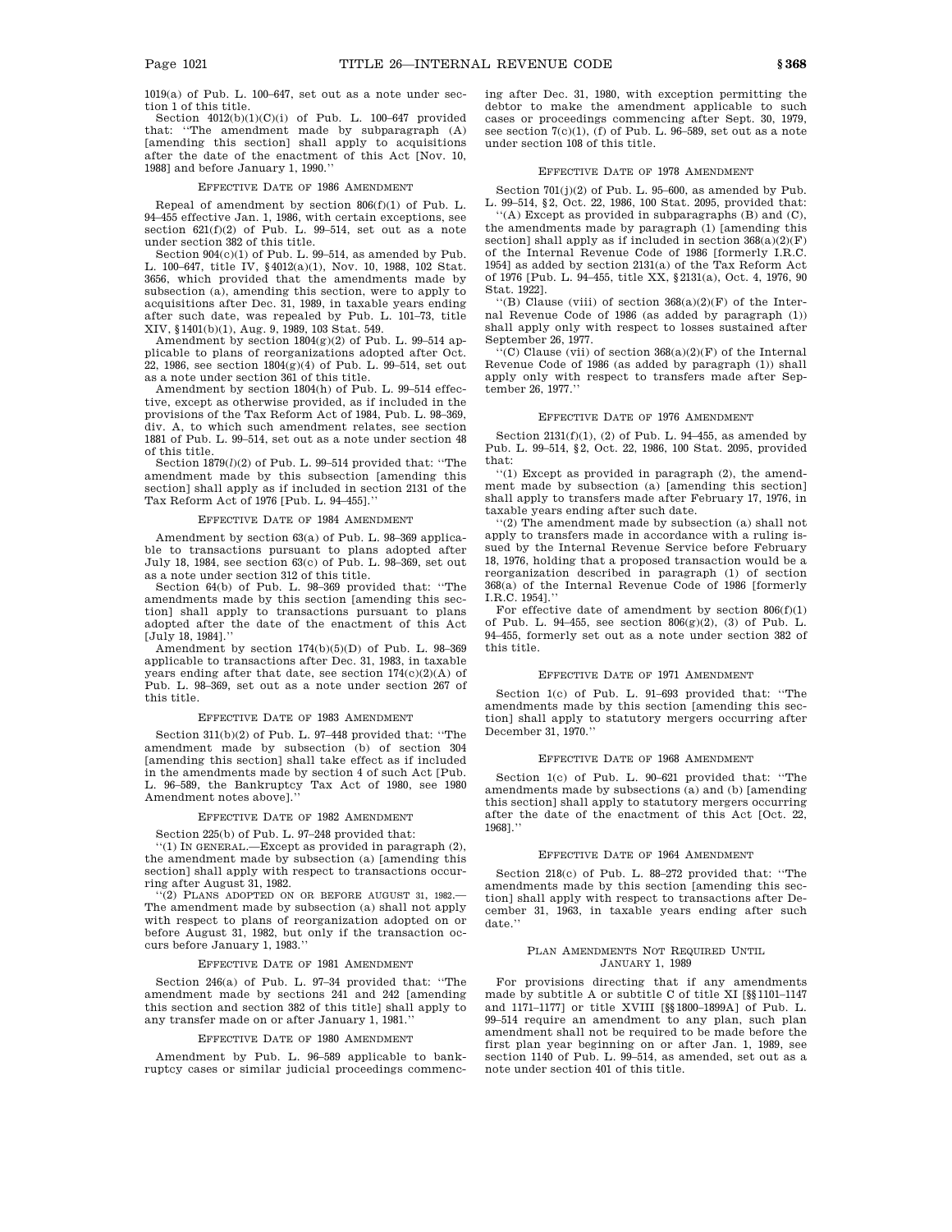1019(a) of Pub. L. 100–647, set out as a note under section 1 of this title.

Section  $4012(b)(1)(C)(i)$  of Pub. L. 100-647 provided that: ''The amendment made by subparagraph (A) [amending this section] shall apply to acquisitions after the date of the enactment of this Act [Nov. 10, 1988] and before January 1, 1990.''

### EFFECTIVE DATE OF 1986 AMENDMENT

Repeal of amendment by section 806(f)(1) of Pub. L. 94–455 effective Jan. 1, 1986, with certain exceptions, see section  $621(f)(2)$  of Pub. L. 99-514, set out as a note under section 382 of this title.

Section 904(c)(1) of Pub. L. 99–514, as amended by Pub. L. 100–647, title IV, §4012(a)(1), Nov. 10, 1988, 102 Stat. 3656, which provided that the amendments made by subsection (a), amending this section, were to apply to acquisitions after Dec. 31, 1989, in taxable years ending after such date, was repealed by Pub. L. 101–73, title XIV, §1401(b)(1), Aug. 9, 1989, 103 Stat. 549.

Amendment by section  $1804(g)(2)$  of Pub. L. 99-514 applicable to plans of reorganizations adopted after Oct. 22, 1986, see section 1804(g)(4) of Pub. L. 99–514, set out as a note under section 361 of this title.

Amendment by section 1804(h) of Pub. L. 99–514 effective, except as otherwise provided, as if included in the provisions of the Tax Reform Act of 1984, Pub. L. 98–369, div. A, to which such amendment relates, see section 1881 of Pub. L. 99–514, set out as a note under section 48 of this title.

Section 1879(*l*)(2) of Pub. L. 99–514 provided that: ''The amendment made by this subsection [amending this section] shall apply as if included in section 2131 of the Tax Reform Act of 1976 [Pub. L. 94–455].''

### EFFECTIVE DATE OF 1984 AMENDMENT

Amendment by section 63(a) of Pub. L. 98–369 applicable to transactions pursuant to plans adopted after July 18, 1984, see section 63(c) of Pub. L. 98–369, set out as a note under section 312 of this title.

Section 64(b) of Pub. L. 98–369 provided that: ''The amendments made by this section [amending this section] shall apply to transactions pursuant to plans adopted after the date of the enactment of this Act [July 18, 1984].''

Amendment by section 174(b)(5)(D) of Pub. L. 98–369 applicable to transactions after Dec. 31, 1983, in taxable years ending after that date, see section 174(c)(2)(A) of Pub. L. 98–369, set out as a note under section 267 of this title.

#### EFFECTIVE DATE OF 1983 AMENDMENT

Section 311(b)(2) of Pub. L. 97–448 provided that: ''The amendment made by subsection (b) of section 304 [amending this section] shall take effect as if included in the amendments made by section 4 of such Act [Pub. L. 96–589, the Bankruptcy Tax Act of 1980, see 1980 Amendment notes abovel.

#### EFFECTIVE DATE OF 1982 AMENDMENT

Section 225(b) of Pub. L. 97–248 provided that:

'(1) IN GENERAL.—Except as provided in paragraph (2), the amendment made by subsection (a) [amending this section] shall apply with respect to transactions occurring after August 31, 1982.

'(2) PLANS ADOPTED ON OR BEFORE AUGUST 31, 1982.-The amendment made by subsection (a) shall not apply with respect to plans of reorganization adopted on or before August 31, 1982, but only if the transaction occurs before January 1, 1983.

### EFFECTIVE DATE OF 1981 AMENDMENT

Section 246(a) of Pub. L. 97–34 provided that: ''The amendment made by sections 241 and 242 [amending this section and section 382 of this title] shall apply to any transfer made on or after January 1, 1981.''

#### EFFECTIVE DATE OF 1980 AMENDMENT

Amendment by Pub. L. 96–589 applicable to bankruptcy cases or similar judicial proceedings commencing after Dec. 31, 1980, with exception permitting the debtor to make the amendment applicable to such cases or proceedings commencing after Sept. 30, 1979, see section 7(c)(1), (f) of Pub. L. 96–589, set out as a note under section 108 of this title.

## EFFECTIVE DATE OF 1978 AMENDMENT

Section 701(j)(2) of Pub. L. 95–600, as amended by Pub. L. 99–514, §2, Oct. 22, 1986, 100 Stat. 2095, provided that:

''(A) Except as provided in subparagraphs (B) and (C), the amendments made by paragraph (1) [amending this section] shall apply as if included in section  $368(a)(2)(F)$ of the Internal Revenue Code of 1986 [formerly I.R.C. 1954] as added by section 2131(a) of the Tax Reform Act of 1976 [Pub. L. 94–455, title XX, §2131(a), Oct. 4, 1976, 90 Stat. 1922].

"(B) Clause (viii) of section  $368(a)(2)(F)$  of the Internal Revenue Code of 1986 (as added by paragraph (1)) shall apply only with respect to losses sustained after September 26, 1977.

''(C) Clause (vii) of section 368(a)(2)(F) of the Internal Revenue Code of 1986 (as added by paragraph (1)) shall apply only with respect to transfers made after September 26, 1977.''

### EFFECTIVE DATE OF 1976 AMENDMENT

Section  $2131(f)(1)$ , (2) of Pub. L. 94-455, as amended by Pub. L. 99–514, §2, Oct. 22, 1986, 100 Stat. 2095, provided that:

''(1) Except as provided in paragraph (2), the amendment made by subsection (a) [amending this section] shall apply to transfers made after February 17, 1976, in taxable years ending after such date.

''(2) The amendment made by subsection (a) shall not apply to transfers made in accordance with a ruling issued by the Internal Revenue Service before February 18, 1976, holding that a proposed transaction would be a reorganization described in paragraph (1) of section 368(a) of the Internal Revenue Code of 1986 [formerly I.R.C. 1954].''

For effective date of amendment by section  $806(f)(1)$ of Pub. L. 94–455, see section 806(g)(2), (3) of Pub. L. 94–455, formerly set out as a note under section 382 of this title.

### EFFECTIVE DATE OF 1971 AMENDMENT

Section 1(c) of Pub. L. 91–693 provided that: ''The amendments made by this section [amending this section] shall apply to statutory mergers occurring after December 31, 1970.''

### EFFECTIVE DATE OF 1968 AMENDMENT

Section 1(c) of Pub. L. 90–621 provided that: ''The amendments made by subsections (a) and (b) [amending this section] shall apply to statutory mergers occurring after the date of the enactment of this Act [Oct. 22, 1968].''

### EFFECTIVE DATE OF 1964 AMENDMENT

Section 218(c) of Pub. L. 88–272 provided that: ''The amendments made by this section [amending this section] shall apply with respect to transactions after December 31, 1963, in taxable years ending after such date.''

#### PLAN AMENDMENTS NOT REQUIRED UNTIL JANUARY 1, 1989

For provisions directing that if any amendments made by subtitle A or subtitle C of title XI [§§1101–1147 and 1171–1177] or title XVIII [§§1800–1899A] of Pub. L. 99–514 require an amendment to any plan, such plan amendment shall not be required to be made before the first plan year beginning on or after Jan. 1, 1989, see section 1140 of Pub. L. 99–514, as amended, set out as a note under section 401 of this title.